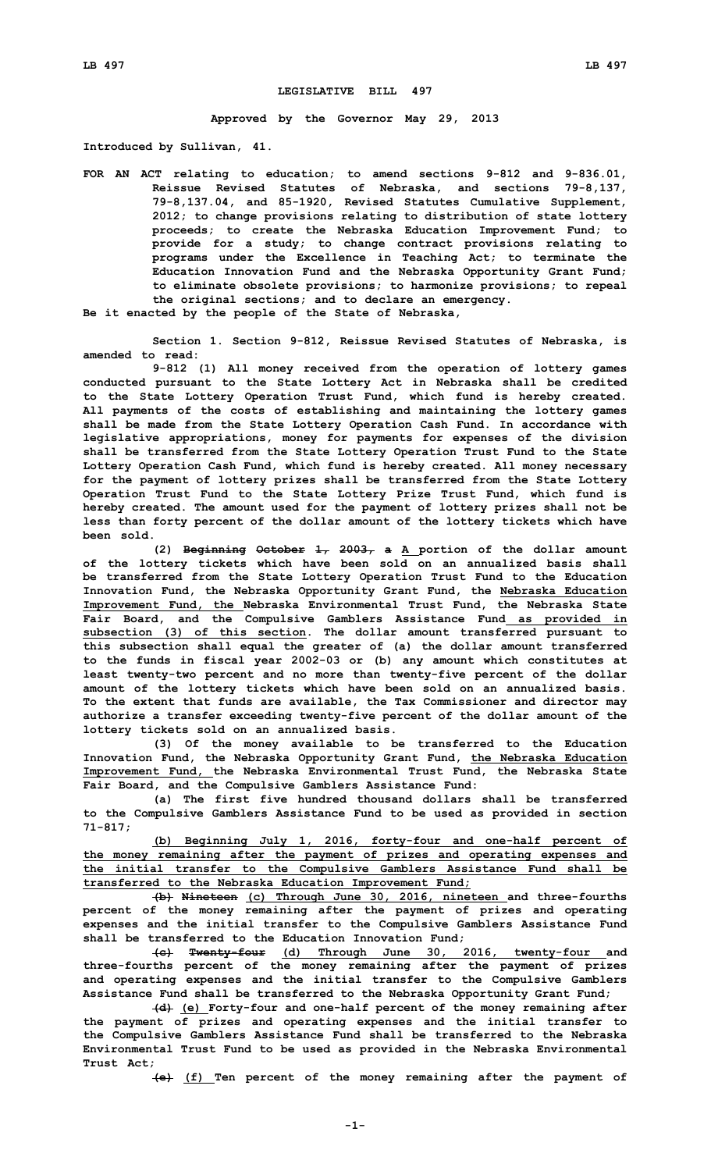## **LEGISLATIVE BILL 497**

**Approved by the Governor May 29, 2013**

**Introduced by Sullivan, 41.**

**FOR AN ACT relating to education; to amend sections 9-812 and 9-836.01, Reissue Revised Statutes of Nebraska, and sections 79-8,137, 79-8,137.04, and 85-1920, Revised Statutes Cumulative Supplement, 2012; to change provisions relating to distribution of state lottery proceeds; to create the Nebraska Education Improvement Fund; to provide for <sup>a</sup> study; to change contract provisions relating to programs under the Excellence in Teaching Act; to terminate the Education Innovation Fund and the Nebraska Opportunity Grant Fund; to eliminate obsolete provisions; to harmonize provisions; to repeal the original sections; and to declare an emergency.**

**Be it enacted by the people of the State of Nebraska,**

**Section 1. Section 9-812, Reissue Revised Statutes of Nebraska, is amended to read:**

**9-812 (1) All money received from the operation of lottery games conducted pursuant to the State Lottery Act in Nebraska shall be credited to the State Lottery Operation Trust Fund, which fund is hereby created. All payments of the costs of establishing and maintaining the lottery games shall be made from the State Lottery Operation Cash Fund. In accordance with legislative appropriations, money for payments for expenses of the division shall be transferred from the State Lottery Operation Trust Fund to the State Lottery Operation Cash Fund, which fund is hereby created. All money necessary for the payment of lottery prizes shall be transferred from the State Lottery Operation Trust Fund to the State Lottery Prize Trust Fund, which fund is hereby created. The amount used for the payment of lottery prizes shall not be less than forty percent of the dollar amount of the lottery tickets which have been sold.**

**(2) Beginning October 1, 2003, <sup>a</sup> <sup>A</sup> portion of the dollar amount of the lottery tickets which have been sold on an annualized basis shall be transferred from the State Lottery Operation Trust Fund to the Education Innovation Fund, the Nebraska Opportunity Grant Fund, the Nebraska Education Improvement Fund, the Nebraska Environmental Trust Fund, the Nebraska State Fair Board, and the Compulsive Gamblers Assistance Fund as provided in subsection (3) of this section. The dollar amount transferred pursuant to this subsection shall equal the greater of (a) the dollar amount transferred to the funds in fiscal year 2002-03 or (b) any amount which constitutes at least twenty-two percent and no more than twenty-five percent of the dollar amount of the lottery tickets which have been sold on an annualized basis. To the extent that funds are available, the Tax Commissioner and director may authorize <sup>a</sup> transfer exceeding twenty-five percent of the dollar amount of the lottery tickets sold on an annualized basis.**

**(3) Of the money available to be transferred to the Education Innovation Fund, the Nebraska Opportunity Grant Fund, the Nebraska Education Improvement Fund, the Nebraska Environmental Trust Fund, the Nebraska State Fair Board, and the Compulsive Gamblers Assistance Fund:**

**(a) The first five hundred thousand dollars shall be transferred to the Compulsive Gamblers Assistance Fund to be used as provided in section 71-817;**

**(b) Beginning July 1, 2016, forty-four and one-half percent of the money remaining after the payment of prizes and operating expenses and the initial transfer to the Compulsive Gamblers Assistance Fund shall be transferred to the Nebraska Education Improvement Fund;**

**(b) Nineteen (c) Through June 30, 2016, nineteen and three-fourths percent of the money remaining after the payment of prizes and operating expenses and the initial transfer to the Compulsive Gamblers Assistance Fund shall be transferred to the Education Innovation Fund;**

**(c) Twenty-four (d) Through June 30, 2016, twenty-four and three-fourths percent of the money remaining after the payment of prizes and operating expenses and the initial transfer to the Compulsive Gamblers Assistance Fund shall be transferred to the Nebraska Opportunity Grant Fund;**

**(d) (e) Forty-four and one-half percent of the money remaining after the payment of prizes and operating expenses and the initial transfer to the Compulsive Gamblers Assistance Fund shall be transferred to the Nebraska Environmental Trust Fund to be used as provided in the Nebraska Environmental Trust Act;**

**(e) (f) Ten percent of the money remaining after the payment of**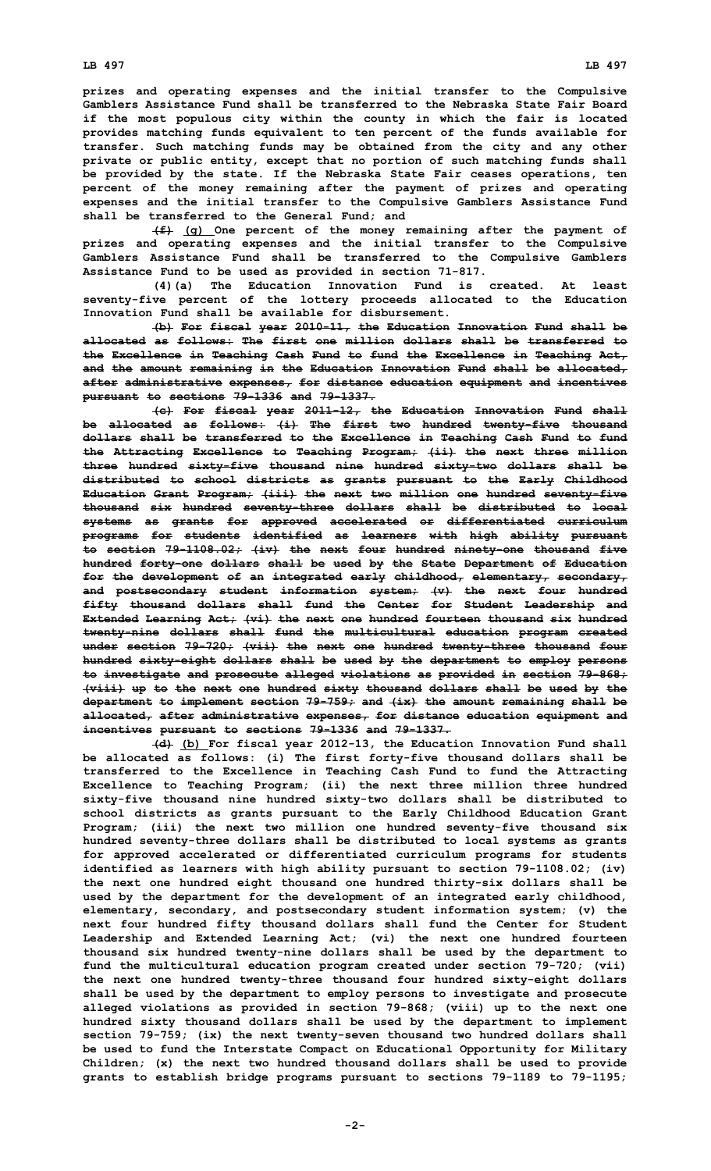**prizes and operating expenses and the initial transfer to the Compulsive Gamblers Assistance Fund shall be transferred to the Nebraska State Fair Board if the most populous city within the county in which the fair is located provides matching funds equivalent to ten percent of the funds available for transfer. Such matching funds may be obtained from the city and any other private or public entity, except that no portion of such matching funds shall be provided by the state. If the Nebraska State Fair ceases operations, ten percent of the money remaining after the payment of prizes and operating expenses and the initial transfer to the Compulsive Gamblers Assistance Fund shall be transferred to the General Fund; and**

**(f) (g) One percent of the money remaining after the payment of prizes and operating expenses and the initial transfer to the Compulsive Gamblers Assistance Fund shall be transferred to the Compulsive Gamblers Assistance Fund to be used as provided in section 71-817.**

**(4)(a) The Education Innovation Fund is created. At least seventy-five percent of the lottery proceeds allocated to the Education Innovation Fund shall be available for disbursement.**

**(b) For fiscal year 2010-11, the Education Innovation Fund shall be allocated as follows: The first one million dollars shall be transferred to the Excellence in Teaching Cash Fund to fund the Excellence in Teaching Act, and the amount remaining in the Education Innovation Fund shall be allocated, after administrative expenses, for distance education equipment and incentives pursuant to sections 79-1336 and 79-1337.**

**(c) For fiscal year 2011-12, the Education Innovation Fund shall be allocated as follows: (i) The first two hundred twenty-five thousand dollars shall be transferred to the Excellence in Teaching Cash Fund to fund the Attracting Excellence to Teaching Program; (ii) the next three million three hundred sixty-five thousand nine hundred sixty-two dollars shall be distributed to school districts as grants pursuant to the Early Childhood Education Grant Program; (iii) the next two million one hundred seventy-five thousand six hundred seventy-three dollars shall be distributed to local systems as grants for approved accelerated or differentiated curriculum programs for students identified as learners with high ability pursuant to section 79-1108.02; (iv) the next four hundred ninety-one thousand five hundred forty-one dollars shall be used by the State Department of Education for the development of an integrated early childhood, elementary, secondary, and postsecondary student information system; (v) the next four hundred fifty thousand dollars shall fund the Center for Student Leadership and Extended Learning Act; (vi) the next one hundred fourteen thousand six hundred twenty-nine dollars shall fund the multicultural education program created under section 79-720; (vii) the next one hundred twenty-three thousand four hundred sixty-eight dollars shall be used by the department to employ persons to investigate and prosecute alleged violations as provided in section 79-868; (viii) up to the next one hundred sixty thousand dollars shall be used by the department to implement section 79-759; and (ix) the amount remaining shall be allocated, after administrative expenses, for distance education equipment and incentives pursuant to sections 79-1336 and 79-1337.**

**(d) (b) For fiscal year 2012-13, the Education Innovation Fund shall be allocated as follows: (i) The first forty-five thousand dollars shall be transferred to the Excellence in Teaching Cash Fund to fund the Attracting Excellence to Teaching Program; (ii) the next three million three hundred sixty-five thousand nine hundred sixty-two dollars shall be distributed to school districts as grants pursuant to the Early Childhood Education Grant Program; (iii) the next two million one hundred seventy-five thousand six hundred seventy-three dollars shall be distributed to local systems as grants for approved accelerated or differentiated curriculum programs for students identified as learners with high ability pursuant to section 79-1108.02; (iv) the next one hundred eight thousand one hundred thirty-six dollars shall be used by the department for the development of an integrated early childhood, elementary, secondary, and postsecondary student information system; (v) the next four hundred fifty thousand dollars shall fund the Center for Student Leadership and Extended Learning Act; (vi) the next one hundred fourteen thousand six hundred twenty-nine dollars shall be used by the department to fund the multicultural education program created under section 79-720; (vii) the next one hundred twenty-three thousand four hundred sixty-eight dollars shall be used by the department to employ persons to investigate and prosecute alleged violations as provided in section 79-868; (viii) up to the next one hundred sixty thousand dollars shall be used by the department to implement section 79-759; (ix) the next twenty-seven thousand two hundred dollars shall be used to fund the Interstate Compact on Educational Opportunity for Military Children; (x) the next two hundred thousand dollars shall be used to provide grants to establish bridge programs pursuant to sections 79-1189 to 79-1195;**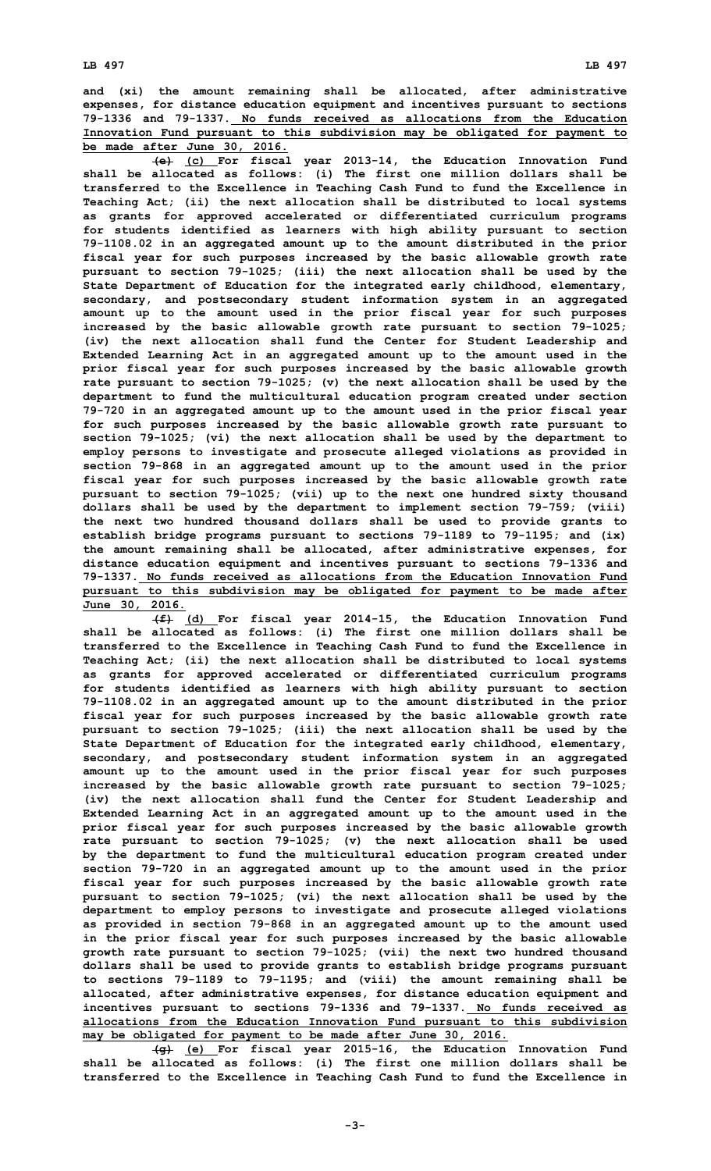**and (xi) the amount remaining shall be allocated, after administrative expenses, for distance education equipment and incentives pursuant to sections 79-1336 and 79-1337. No funds received as allocations from the Education Innovation Fund pursuant to this subdivision may be obligated for payment to be made after June 30, 2016.**

**(e) (c) For fiscal year 2013-14, the Education Innovation Fund shall be allocated as follows: (i) The first one million dollars shall be transferred to the Excellence in Teaching Cash Fund to fund the Excellence in Teaching Act; (ii) the next allocation shall be distributed to local systems as grants for approved accelerated or differentiated curriculum programs for students identified as learners with high ability pursuant to section 79-1108.02 in an aggregated amount up to the amount distributed in the prior fiscal year for such purposes increased by the basic allowable growth rate pursuant to section 79-1025; (iii) the next allocation shall be used by the State Department of Education for the integrated early childhood, elementary, secondary, and postsecondary student information system in an aggregated amount up to the amount used in the prior fiscal year for such purposes increased by the basic allowable growth rate pursuant to section 79-1025; (iv) the next allocation shall fund the Center for Student Leadership and Extended Learning Act in an aggregated amount up to the amount used in the prior fiscal year for such purposes increased by the basic allowable growth rate pursuant to section 79-1025; (v) the next allocation shall be used by the department to fund the multicultural education program created under section 79-720 in an aggregated amount up to the amount used in the prior fiscal year for such purposes increased by the basic allowable growth rate pursuant to section 79-1025; (vi) the next allocation shall be used by the department to employ persons to investigate and prosecute alleged violations as provided in section 79-868 in an aggregated amount up to the amount used in the prior fiscal year for such purposes increased by the basic allowable growth rate pursuant to section 79-1025; (vii) up to the next one hundred sixty thousand dollars shall be used by the department to implement section 79-759; (viii) the next two hundred thousand dollars shall be used to provide grants to establish bridge programs pursuant to sections 79-1189 to 79-1195; and (ix) the amount remaining shall be allocated, after administrative expenses, for distance education equipment and incentives pursuant to sections 79-1336 and 79-1337. No funds received as allocations from the Education Innovation Fund pursuant to this subdivision may be obligated for payment to be made after June 30, 2016.**

**(f) (d) For fiscal year 2014-15, the Education Innovation Fund shall be allocated as follows: (i) The first one million dollars shall be transferred to the Excellence in Teaching Cash Fund to fund the Excellence in Teaching Act; (ii) the next allocation shall be distributed to local systems as grants for approved accelerated or differentiated curriculum programs for students identified as learners with high ability pursuant to section 79-1108.02 in an aggregated amount up to the amount distributed in the prior fiscal year for such purposes increased by the basic allowable growth rate pursuant to section 79-1025; (iii) the next allocation shall be used by the State Department of Education for the integrated early childhood, elementary, secondary, and postsecondary student information system in an aggregated amount up to the amount used in the prior fiscal year for such purposes increased by the basic allowable growth rate pursuant to section 79-1025; (iv) the next allocation shall fund the Center for Student Leadership and Extended Learning Act in an aggregated amount up to the amount used in the prior fiscal year for such purposes increased by the basic allowable growth rate pursuant to section 79-1025; (v) the next allocation shall be used by the department to fund the multicultural education program created under section 79-720 in an aggregated amount up to the amount used in the prior fiscal year for such purposes increased by the basic allowable growth rate pursuant to section 79-1025; (vi) the next allocation shall be used by the department to employ persons to investigate and prosecute alleged violations as provided in section 79-868 in an aggregated amount up to the amount used in the prior fiscal year for such purposes increased by the basic allowable growth rate pursuant to section 79-1025; (vii) the next two hundred thousand dollars shall be used to provide grants to establish bridge programs pursuant to sections 79-1189 to 79-1195; and (viii) the amount remaining shall be allocated, after administrative expenses, for distance education equipment and incentives pursuant to sections 79-1336 and 79-1337. No funds received as allocations from the Education Innovation Fund pursuant to this subdivision may be obligated for payment to be made after June 30, 2016.**

**(g) (e) For fiscal year 2015-16, the Education Innovation Fund shall be allocated as follows: (i) The first one million dollars shall be transferred to the Excellence in Teaching Cash Fund to fund the Excellence in**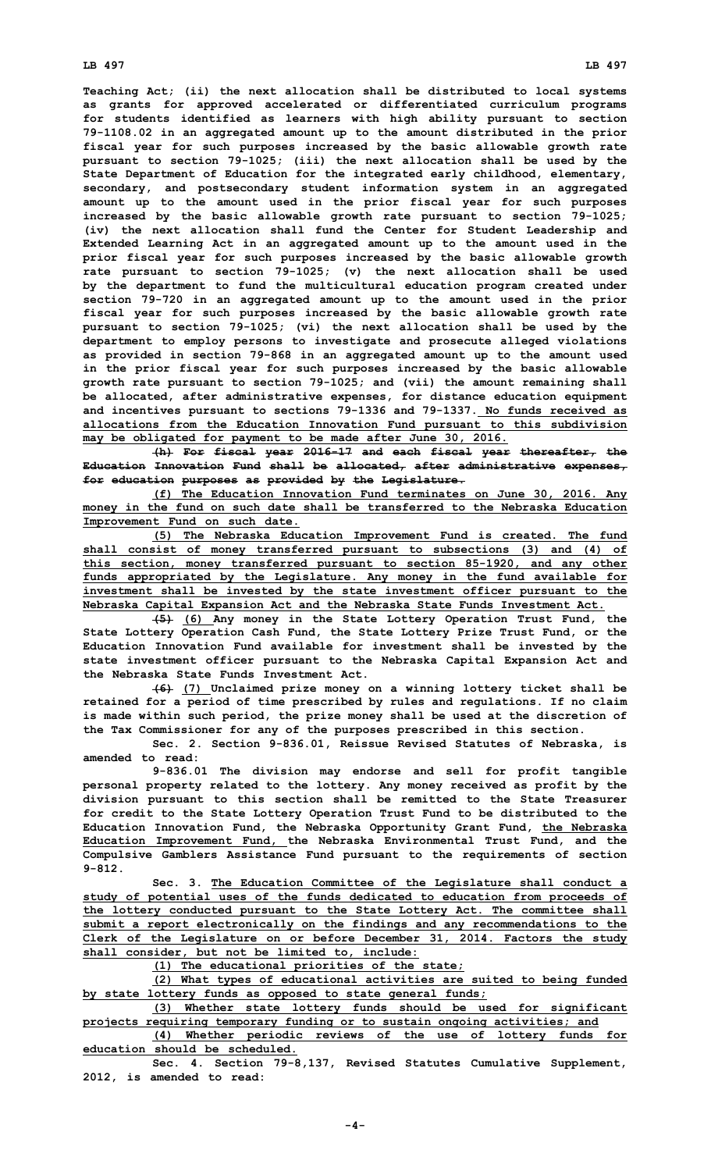## **LB 497 LB 497**

**Teaching Act; (ii) the next allocation shall be distributed to local systems as grants for approved accelerated or differentiated curriculum programs for students identified as learners with high ability pursuant to section 79-1108.02 in an aggregated amount up to the amount distributed in the prior fiscal year for such purposes increased by the basic allowable growth rate pursuant to section 79-1025; (iii) the next allocation shall be used by the State Department of Education for the integrated early childhood, elementary, secondary, and postsecondary student information system in an aggregated amount up to the amount used in the prior fiscal year for such purposes increased by the basic allowable growth rate pursuant to section 79-1025; (iv) the next allocation shall fund the Center for Student Leadership and Extended Learning Act in an aggregated amount up to the amount used in the prior fiscal year for such purposes increased by the basic allowable growth rate pursuant to section 79-1025; (v) the next allocation shall be used by the department to fund the multicultural education program created under section 79-720 in an aggregated amount up to the amount used in the prior fiscal year for such purposes increased by the basic allowable growth rate pursuant to section 79-1025; (vi) the next allocation shall be used by the department to employ persons to investigate and prosecute alleged violations as provided in section 79-868 in an aggregated amount up to the amount used in the prior fiscal year for such purposes increased by the basic allowable growth rate pursuant to section 79-1025; and (vii) the amount remaining shall be allocated, after administrative expenses, for distance education equipment and incentives pursuant to sections 79-1336 and 79-1337. No funds received as allocations from the Education Innovation Fund pursuant to this subdivision may be obligated for payment to be made after June 30, 2016.**

**(h) For fiscal year 2016-17 and each fiscal year thereafter, the Education Innovation Fund shall be allocated, after administrative expenses, for education purposes as provided by the Legislature.**

**(f) The Education Innovation Fund terminates on June 30, 2016. Any money in the fund on such date shall be transferred to the Nebraska Education Improvement Fund on such date.**

**(5) The Nebraska Education Improvement Fund is created. The fund shall consist of money transferred pursuant to subsections (3) and (4) of this section, money transferred pursuant to section 85-1920, and any other funds appropriated by the Legislature. Any money in the fund available for investment shall be invested by the state investment officer pursuant to the Nebraska Capital Expansion Act and the Nebraska State Funds Investment Act.**

**(5) (6) Any money in the State Lottery Operation Trust Fund, the State Lottery Operation Cash Fund, the State Lottery Prize Trust Fund, or the Education Innovation Fund available for investment shall be invested by the state investment officer pursuant to the Nebraska Capital Expansion Act and the Nebraska State Funds Investment Act.**

**(6) (7) Unclaimed prize money on <sup>a</sup> winning lottery ticket shall be retained for <sup>a</sup> period of time prescribed by rules and regulations. If no claim is made within such period, the prize money shall be used at the discretion of the Tax Commissioner for any of the purposes prescribed in this section.**

**Sec. 2. Section 9-836.01, Reissue Revised Statutes of Nebraska, is amended to read:**

**9-836.01 The division may endorse and sell for profit tangible personal property related to the lottery. Any money received as profit by the division pursuant to this section shall be remitted to the State Treasurer for credit to the State Lottery Operation Trust Fund to be distributed to the Education Innovation Fund, the Nebraska Opportunity Grant Fund, the Nebraska Education Improvement Fund, the Nebraska Environmental Trust Fund, and the Compulsive Gamblers Assistance Fund pursuant to the requirements of section 9-812.**

**Sec. 3. The Education Committee of the Legislature shall conduct <sup>a</sup> study of potential uses of the funds dedicated to education from proceeds of the lottery conducted pursuant to the State Lottery Act. The committee shall submit <sup>a</sup> report electronically on the findings and any recommendations to the Clerk of the Legislature on or before December 31, 2014. Factors the study shall consider, but not be limited to, include:**

**(1) The educational priorities of the state;**

**(2) What types of educational activities are suited to being funded by state lottery funds as opposed to state general funds;**

**(3) Whether state lottery funds should be used for significant projects requiring temporary funding or to sustain ongoing activities; and**

**(4) Whether periodic reviews of the use of lottery funds for education should be scheduled.**

**Sec. 4. Section 79-8,137, Revised Statutes Cumulative Supplement, 2012, is amended to read:**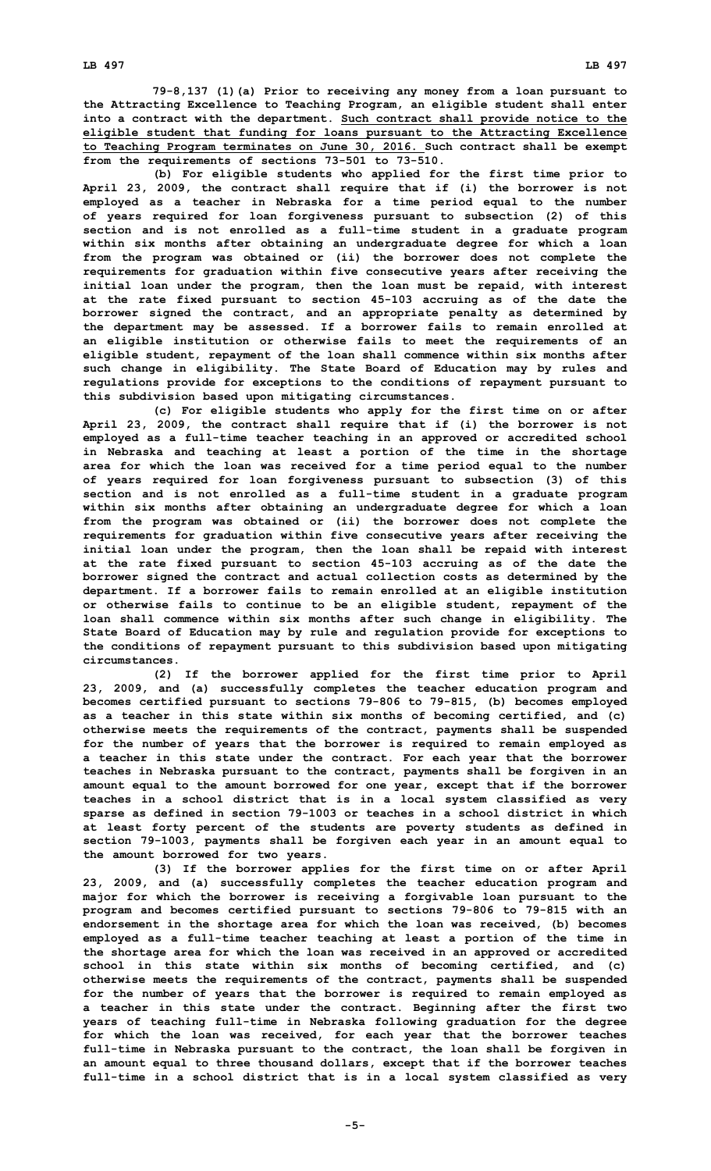**79-8,137 (1)(a) Prior to receiving any money from <sup>a</sup> loan pursuant to the Attracting Excellence to Teaching Program, an eligible student shall enter into <sup>a</sup> contract with the department. Such contract shall provide notice to the eligible student that funding for loans pursuant to the Attracting Excellence to Teaching Program terminates on June 30, 2016. Such contract shall be exempt from the requirements of sections 73-501 to 73-510.**

**(b) For eligible students who applied for the first time prior to April 23, 2009, the contract shall require that if (i) the borrower is not employed as <sup>a</sup> teacher in Nebraska for <sup>a</sup> time period equal to the number of years required for loan forgiveness pursuant to subsection (2) of this section and is not enrolled as <sup>a</sup> full-time student in <sup>a</sup> graduate program within six months after obtaining an undergraduate degree for which <sup>a</sup> loan from the program was obtained or (ii) the borrower does not complete the requirements for graduation within five consecutive years after receiving the initial loan under the program, then the loan must be repaid, with interest at the rate fixed pursuant to section 45-103 accruing as of the date the borrower signed the contract, and an appropriate penalty as determined by the department may be assessed. If <sup>a</sup> borrower fails to remain enrolled at an eligible institution or otherwise fails to meet the requirements of an eligible student, repayment of the loan shall commence within six months after such change in eligibility. The State Board of Education may by rules and regulations provide for exceptions to the conditions of repayment pursuant to this subdivision based upon mitigating circumstances.**

**(c) For eligible students who apply for the first time on or after April 23, 2009, the contract shall require that if (i) the borrower is not employed as <sup>a</sup> full-time teacher teaching in an approved or accredited school in Nebraska and teaching at least <sup>a</sup> portion of the time in the shortage area for which the loan was received for <sup>a</sup> time period equal to the number of years required for loan forgiveness pursuant to subsection (3) of this section and is not enrolled as <sup>a</sup> full-time student in <sup>a</sup> graduate program within six months after obtaining an undergraduate degree for which <sup>a</sup> loan from the program was obtained or (ii) the borrower does not complete the requirements for graduation within five consecutive years after receiving the initial loan under the program, then the loan shall be repaid with interest at the rate fixed pursuant to section 45-103 accruing as of the date the borrower signed the contract and actual collection costs as determined by the department. If <sup>a</sup> borrower fails to remain enrolled at an eligible institution or otherwise fails to continue to be an eligible student, repayment of the loan shall commence within six months after such change in eligibility. The State Board of Education may by rule and regulation provide for exceptions to the conditions of repayment pursuant to this subdivision based upon mitigating circumstances.**

**(2) If the borrower applied for the first time prior to April 23, 2009, and (a) successfully completes the teacher education program and becomes certified pursuant to sections 79-806 to 79-815, (b) becomes employed as <sup>a</sup> teacher in this state within six months of becoming certified, and (c) otherwise meets the requirements of the contract, payments shall be suspended for the number of years that the borrower is required to remain employed as <sup>a</sup> teacher in this state under the contract. For each year that the borrower teaches in Nebraska pursuant to the contract, payments shall be forgiven in an amount equal to the amount borrowed for one year, except that if the borrower teaches in <sup>a</sup> school district that is in <sup>a</sup> local system classified as very sparse as defined in section 79-1003 or teaches in <sup>a</sup> school district in which at least forty percent of the students are poverty students as defined in section 79-1003, payments shall be forgiven each year in an amount equal to the amount borrowed for two years.**

**(3) If the borrower applies for the first time on or after April 23, 2009, and (a) successfully completes the teacher education program and major for which the borrower is receiving <sup>a</sup> forgivable loan pursuant to the program and becomes certified pursuant to sections 79-806 to 79-815 with an endorsement in the shortage area for which the loan was received, (b) becomes employed as <sup>a</sup> full-time teacher teaching at least <sup>a</sup> portion of the time in the shortage area for which the loan was received in an approved or accredited school in this state within six months of becoming certified, and (c) otherwise meets the requirements of the contract, payments shall be suspended for the number of years that the borrower is required to remain employed as <sup>a</sup> teacher in this state under the contract. Beginning after the first two years of teaching full-time in Nebraska following graduation for the degree for which the loan was received, for each year that the borrower teaches full-time in Nebraska pursuant to the contract, the loan shall be forgiven in an amount equal to three thousand dollars, except that if the borrower teaches full-time in <sup>a</sup> school district that is in <sup>a</sup> local system classified as very**